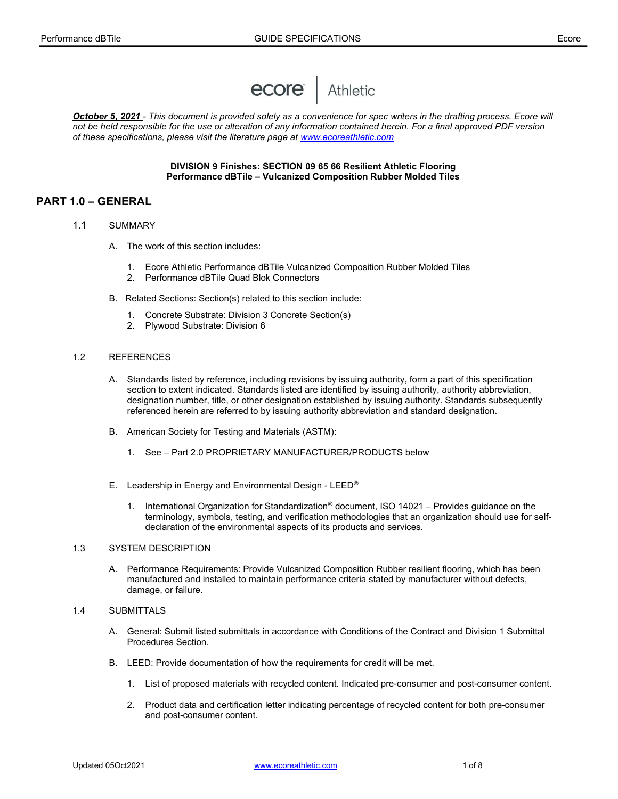

October 5, 2021 - This document is provided solely as a convenience for spec writers in the drafting process. Ecore will not be held responsible for the use or alteration of any information contained herein. For a final approved PDF version of these specifications, please visit the literature page at www.ecoreathletic.com

## DIVISION 9 Finishes: SECTION 09 65 66 Resilient Athletic Flooring Performance dBTile – Vulcanized Composition Rubber Molded Tiles

# PART 1.0 – GENERAL

- 1.1 SUMMARY
	- A. The work of this section includes:
		- 1. Ecore Athletic Performance dBTile Vulcanized Composition Rubber Molded Tiles
		- 2. Performance dBTile Quad Blok Connectors
	- B. Related Sections: Section(s) related to this section include:
		- 1. Concrete Substrate: Division 3 Concrete Section(s)
		- 2. Plywood Substrate: Division 6

#### 1.2 REFERENCES

- A. Standards listed by reference, including revisions by issuing authority, form a part of this specification section to extent indicated. Standards listed are identified by issuing authority, authority abbreviation, designation number, title, or other designation established by issuing authority. Standards subsequently referenced herein are referred to by issuing authority abbreviation and standard designation.
- B. American Society for Testing and Materials (ASTM):
	- 1. See Part 2.0 PROPRIETARY MANUFACTURER/PRODUCTS below
- E. Leadership in Energy and Environmental Design LEED®
	- 1. International Organization for Standardization® document, ISO 14021 Provides guidance on the terminology, symbols, testing, and verification methodologies that an organization should use for selfdeclaration of the environmental aspects of its products and services.

#### 1.3 SYSTEM DESCRIPTION

 A. Performance Requirements: Provide Vulcanized Composition Rubber resilient flooring, which has been manufactured and installed to maintain performance criteria stated by manufacturer without defects, damage, or failure.

## 1.4 SUBMITTALS

- A. General: Submit listed submittals in accordance with Conditions of the Contract and Division 1 Submittal Procedures Section.
- B. LEED: Provide documentation of how the requirements for credit will be met.
	- 1. List of proposed materials with recycled content. Indicated pre-consumer and post-consumer content.
	- 2. Product data and certification letter indicating percentage of recycled content for both pre-consumer and post-consumer content.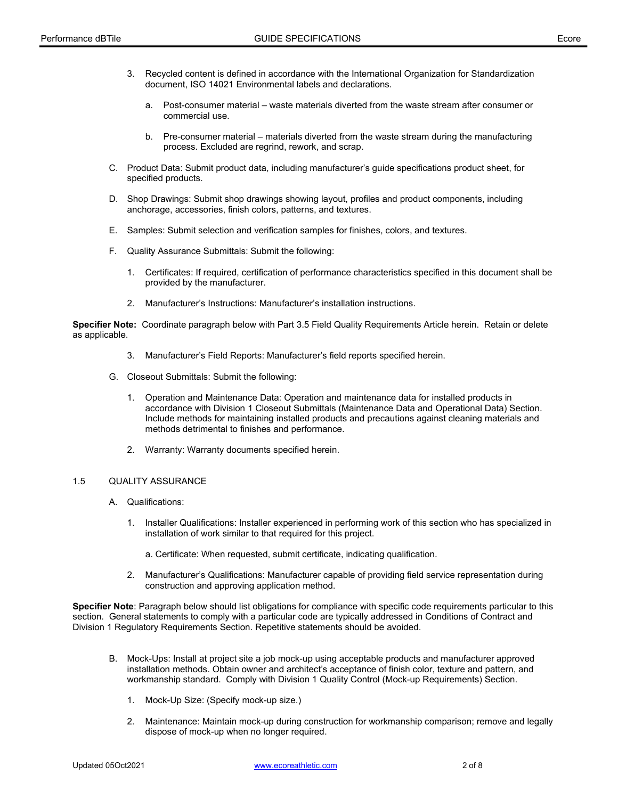- 3. Recycled content is defined in accordance with the International Organization for Standardization document, ISO 14021 Environmental labels and declarations.
	- a. Post-consumer material waste materials diverted from the waste stream after consumer or commercial use.
	- b. Pre-consumer material materials diverted from the waste stream during the manufacturing process. Excluded are regrind, rework, and scrap.
- C. Product Data: Submit product data, including manufacturer's guide specifications product sheet, for specified products.
- D. Shop Drawings: Submit shop drawings showing layout, profiles and product components, including anchorage, accessories, finish colors, patterns, and textures.
- E. Samples: Submit selection and verification samples for finishes, colors, and textures.
- F. Quality Assurance Submittals: Submit the following:
	- 1. Certificates: If required, certification of performance characteristics specified in this document shall be provided by the manufacturer.
	- 2. Manufacturer's Instructions: Manufacturer's installation instructions.

Specifier Note: Coordinate paragraph below with Part 3.5 Field Quality Requirements Article herein. Retain or delete as applicable.

- 3. Manufacturer's Field Reports: Manufacturer's field reports specified herein.
- G. Closeout Submittals: Submit the following:
	- 1. Operation and Maintenance Data: Operation and maintenance data for installed products in accordance with Division 1 Closeout Submittals (Maintenance Data and Operational Data) Section. Include methods for maintaining installed products and precautions against cleaning materials and methods detrimental to finishes and performance.
	- 2. Warranty: Warranty documents specified herein.

#### 1.5 QUALITY ASSURANCE

- A. Qualifications:
	- 1. Installer Qualifications: Installer experienced in performing work of this section who has specialized in installation of work similar to that required for this project.
		- a. Certificate: When requested, submit certificate, indicating qualification.
	- 2. Manufacturer's Qualifications: Manufacturer capable of providing field service representation during construction and approving application method.

Specifier Note: Paragraph below should list obligations for compliance with specific code requirements particular to this section. General statements to comply with a particular code are typically addressed in Conditions of Contract and Division 1 Regulatory Requirements Section. Repetitive statements should be avoided.

- B. Mock-Ups: Install at project site a job mock-up using acceptable products and manufacturer approved installation methods. Obtain owner and architect's acceptance of finish color, texture and pattern, and workmanship standard. Comply with Division 1 Quality Control (Mock-up Requirements) Section.
	- 1. Mock-Up Size: (Specify mock-up size.)
	- 2. Maintenance: Maintain mock-up during construction for workmanship comparison; remove and legally dispose of mock-up when no longer required.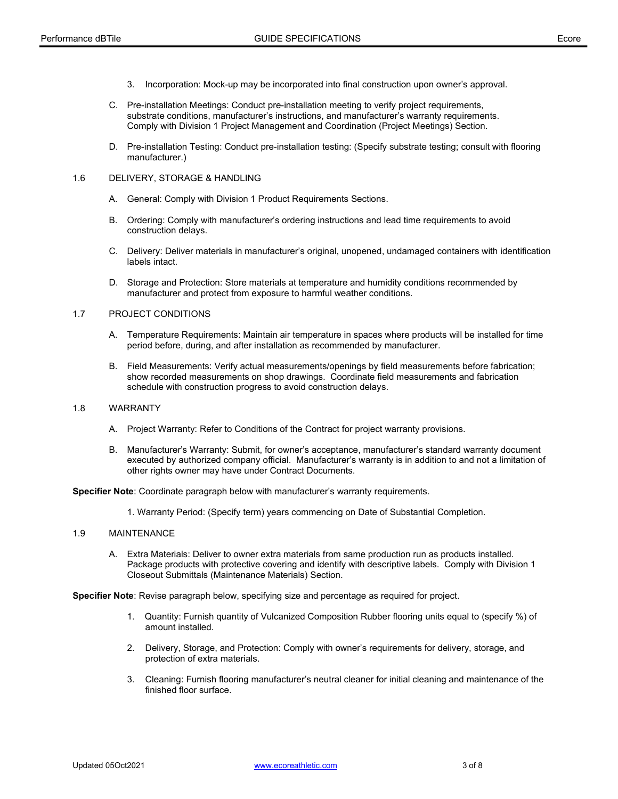- 3. Incorporation: Mock-up may be incorporated into final construction upon owner's approval.
- C. Pre-installation Meetings: Conduct pre-installation meeting to verify project requirements, substrate conditions, manufacturer's instructions, and manufacturer's warranty requirements. Comply with Division 1 Project Management and Coordination (Project Meetings) Section.
- D. Pre-installation Testing: Conduct pre-installation testing: (Specify substrate testing; consult with flooring manufacturer.)

### 1.6 DELIVERY, STORAGE & HANDLING

- A. General: Comply with Division 1 Product Requirements Sections.
- B. Ordering: Comply with manufacturer's ordering instructions and lead time requirements to avoid construction delays.
- C. Delivery: Deliver materials in manufacturer's original, unopened, undamaged containers with identification labels intact.
- D. Storage and Protection: Store materials at temperature and humidity conditions recommended by manufacturer and protect from exposure to harmful weather conditions.

## 1.7 PROJECT CONDITIONS

- A. Temperature Requirements: Maintain air temperature in spaces where products will be installed for time period before, during, and after installation as recommended by manufacturer.
- B. Field Measurements: Verify actual measurements/openings by field measurements before fabrication; show recorded measurements on shop drawings. Coordinate field measurements and fabrication schedule with construction progress to avoid construction delays.

## 1.8 WARRANTY

- A. Project Warranty: Refer to Conditions of the Contract for project warranty provisions.
- B. Manufacturer's Warranty: Submit, for owner's acceptance, manufacturer's standard warranty document executed by authorized company official. Manufacturer's warranty is in addition to and not a limitation of other rights owner may have under Contract Documents.

Specifier Note: Coordinate paragraph below with manufacturer's warranty requirements.

1. Warranty Period: (Specify term) years commencing on Date of Substantial Completion.

## 1.9 MAINTENANCE

 A. Extra Materials: Deliver to owner extra materials from same production run as products installed. Package products with protective covering and identify with descriptive labels. Comply with Division 1 Closeout Submittals (Maintenance Materials) Section.

Specifier Note: Revise paragraph below, specifying size and percentage as required for project.

- 1. Quantity: Furnish quantity of Vulcanized Composition Rubber flooring units equal to (specify %) of amount installed.
- 2. Delivery, Storage, and Protection: Comply with owner's requirements for delivery, storage, and protection of extra materials.
- 3. Cleaning: Furnish flooring manufacturer's neutral cleaner for initial cleaning and maintenance of the finished floor surface.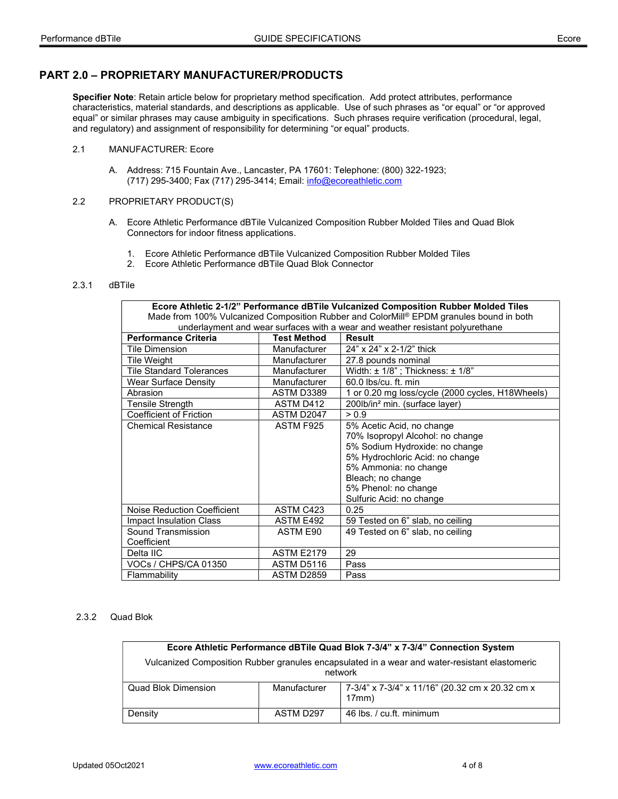## PART 2.0 – PROPRIETARY MANUFACTURER/PRODUCTS

Specifier Note: Retain article below for proprietary method specification. Add protect attributes, performance characteristics, material standards, and descriptions as applicable. Use of such phrases as "or equal" or "or approved equal" or similar phrases may cause ambiguity in specifications. Such phrases require verification (procedural, legal, and regulatory) and assignment of responsibility for determining "or equal" products.

## 2.1 MANUFACTURER: Ecore

 A. Address: 715 Fountain Ave., Lancaster, PA 17601: Telephone: (800) 322-1923; (717) 295-3400; Fax (717) 295-3414; Email: info@ecoreathletic.com

## 2.2 PROPRIETARY PRODUCT(S)

- A. Ecore Athletic Performance dBTile Vulcanized Composition Rubber Molded Tiles and Quad Blok Connectors for indoor fitness applications.
	- 1. Ecore Athletic Performance dBTile Vulcanized Composition Rubber Molded Tiles
	- 2. Ecore Athletic Performance dBTile Quad Blok Connector

#### 2.3.1 dBTile

| Ecore Athletic 2-1/2" Performance dBTile Vulcanized Composition Rubber Molded Tiles     |                    |                                                  |  |
|-----------------------------------------------------------------------------------------|--------------------|--------------------------------------------------|--|
| Made from 100% Vulcanized Composition Rubber and ColorMill® EPDM granules bound in both |                    |                                                  |  |
| underlayment and wear surfaces with a wear and weather resistant polyurethane           |                    |                                                  |  |
| <b>Performance Criteria</b>                                                             | <b>Test Method</b> | <b>Result</b>                                    |  |
| Tile Dimension                                                                          | Manufacturer       | 24" x 24" x 2-1/2" thick                         |  |
| Tile Weight                                                                             | Manufacturer       | 27.8 pounds nominal                              |  |
| <b>Tile Standard Tolerances</b>                                                         | Manufacturer       | Width: $\pm$ 1/8"; Thickness: $\pm$ 1/8"         |  |
| <b>Wear Surface Density</b>                                                             | Manufacturer       | $60.0$ lbs/cu. ft. min                           |  |
| Abrasion                                                                                | <b>ASTM D3389</b>  | 1 or 0.20 mg loss/cycle (2000 cycles, H18Wheels) |  |
| <b>Tensile Strength</b>                                                                 | ASTM D412          | 200lb/in <sup>2</sup> min. (surface laver)       |  |
| Coefficient of Friction                                                                 | ASTM D2047         | > 0.9                                            |  |
| <b>Chemical Resistance</b>                                                              | ASTM F925          | 5% Acetic Acid, no change                        |  |
|                                                                                         |                    | 70% Isopropyl Alcohol: no change                 |  |
|                                                                                         |                    | 5% Sodium Hydroxide: no change                   |  |
|                                                                                         |                    | 5% Hydrochloric Acid: no change                  |  |
|                                                                                         |                    | 5% Ammonia: no change                            |  |
|                                                                                         |                    | Bleach; no change                                |  |
|                                                                                         |                    | 5% Phenol: no change                             |  |
|                                                                                         |                    | Sulfuric Acid: no change                         |  |
| Noise Reduction Coefficient                                                             | ASTM C423          | 0.25                                             |  |
| Impact Insulation Class                                                                 | ASTM E492          | 59 Tested on 6" slab, no ceiling                 |  |
| Sound Transmission                                                                      | ASTM E90           | 49 Tested on 6" slab, no ceiling                 |  |
| Coefficient                                                                             |                    |                                                  |  |
| Delta IIC                                                                               | <b>ASTM E2179</b>  | 29                                               |  |
| <b>VOCs / CHPS/CA 01350</b>                                                             | ASTM D5116         | Pass                                             |  |
| Flammability                                                                            | <b>ASTM D2859</b>  | Pass                                             |  |

## 2.3.2 Quad Blok

| Ecore Athletic Performance dBTile Quad Blok 7-3/4" x 7-3/4" Connection System                            |              |                                                          |  |
|----------------------------------------------------------------------------------------------------------|--------------|----------------------------------------------------------|--|
| Vulcanized Composition Rubber granules encapsulated in a wear and water-resistant elastomeric<br>network |              |                                                          |  |
| Quad Blok Dimension                                                                                      | Manufacturer | 7-3/4" x 7-3/4" x 11/16" (20.32 cm x 20.32 cm x<br>17mm) |  |
| Density                                                                                                  | ASTM D297    | 46 lbs. / cu.ft. minimum                                 |  |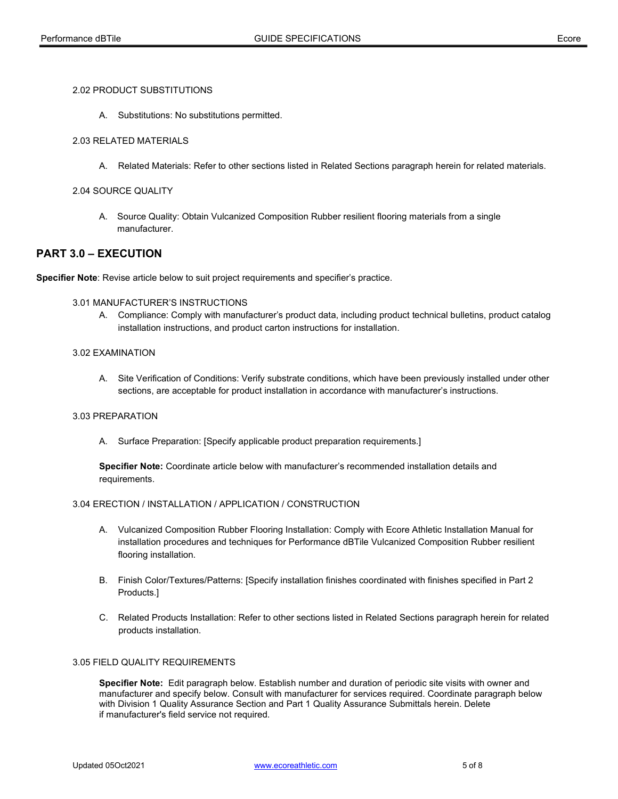### 2.02 PRODUCT SUBSTITUTIONS

A. Substitutions: No substitutions permitted.

## 2.03 RELATED MATERIALS

A. Related Materials: Refer to other sections listed in Related Sections paragraph herein for related materials.

### 2.04 SOURCE QUALITY

A. Source Quality: Obtain Vulcanized Composition Rubber resilient flooring materials from a single manufacturer.

## PART 3.0 – EXECUTION

Specifier Note: Revise article below to suit project requirements and specifier's practice.

## 3.01 MANUFACTURER'S INSTRUCTIONS

 A. Compliance: Comply with manufacturer's product data, including product technical bulletins, product catalog installation instructions, and product carton instructions for installation.

#### 3.02 EXAMINATION

 A. Site Verification of Conditions: Verify substrate conditions, which have been previously installed under other sections, are acceptable for product installation in accordance with manufacturer's instructions.

## 3.03 PREPARATION

A. Surface Preparation: [Specify applicable product preparation requirements.]

Specifier Note: Coordinate article below with manufacturer's recommended installation details and requirements.

## 3.04 ERECTION / INSTALLATION / APPLICATION / CONSTRUCTION

- A. Vulcanized Composition Rubber Flooring Installation: Comply with Ecore Athletic Installation Manual for installation procedures and techniques for Performance dBTile Vulcanized Composition Rubber resilient flooring installation.
- B. Finish Color/Textures/Patterns: [Specify installation finishes coordinated with finishes specified in Part 2 Products.]
- C. Related Products Installation: Refer to other sections listed in Related Sections paragraph herein for related products installation.

#### 3.05 FIELD QUALITY REQUIREMENTS

Specifier Note: Edit paragraph below. Establish number and duration of periodic site visits with owner and manufacturer and specify below. Consult with manufacturer for services required. Coordinate paragraph below with Division 1 Quality Assurance Section and Part 1 Quality Assurance Submittals herein. Delete if manufacturer's field service not required.